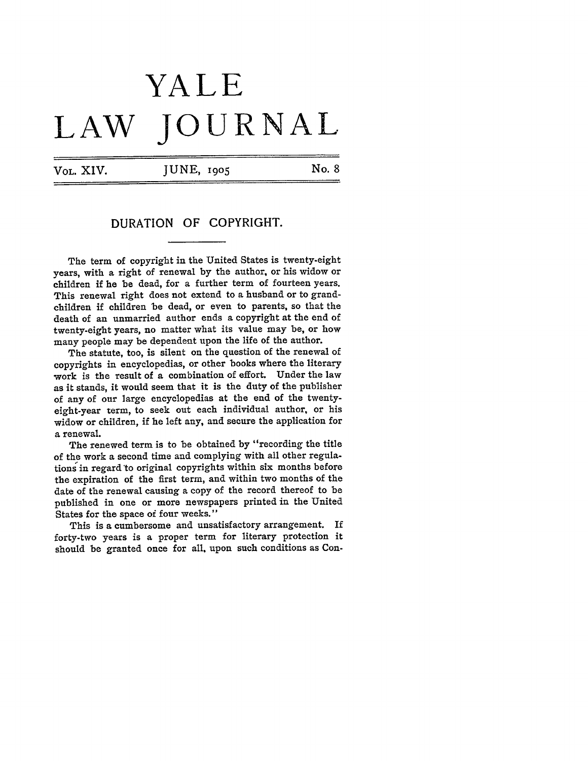## YALE LAW **JOURNAL**

**VOL.** XIV. **JUNE, 19o5** No. **8**

## **DURATION** OF COPYRIGHT.

The term of copyright in the United States is twenty-eight years, with a right of renewal **by** the author, or his widow or children if he be dead, for a further term of fourteen years. This renewal right does not extend to a husband or to grandchildren if children be dead, or even to parents, so that the death of an unmarried author ends a copyright at the end of twenty-eight years, no matter what its value may be, or how many people may be dependent upon the life of the author.

The statute, too, is silent on the question of the renewal of copyrights in encyclopedias, or other books where the literary work is the result of a combination of effort. Under the law as it stands, it would seem that it is the duty of the publisher of any of our large encyclopedias at the end of the twentyeight-year term, to seek out each individual author, or his widow or children, if he left any, and secure the application for a renewal.

The renewed term is to be obtained **by** "recording the title of the work a second time and complying with all other regulations in regard to original copyrights within six months before the expiration of the first term, and within two months of the date of the renewal causing a copy of the record thereof to be published in one or more newspapers printed in the United States for the space of four weeks."

This is a cumbersome and unsatisfactory arrangement. If forty-two years is a proper term for literary protection it should be granted once for all, upon such conditions as Con-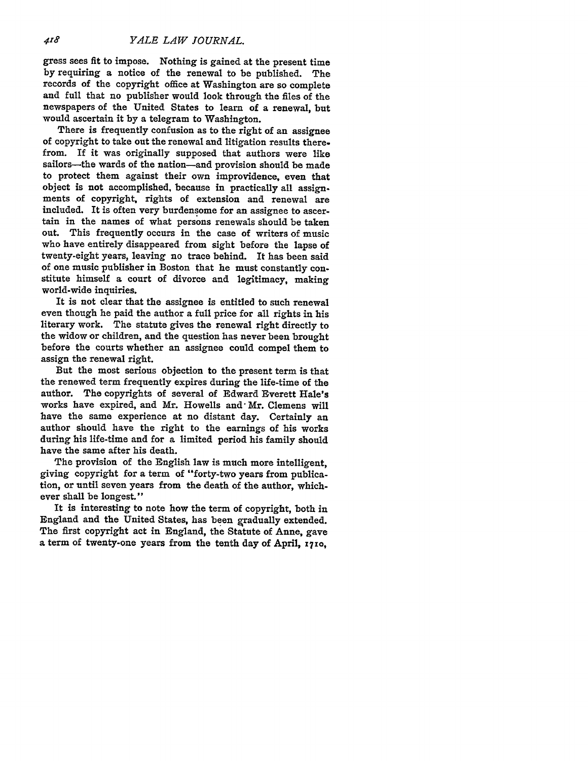gress sees fit to impose. Nothing is gained at the present time **by** requiring a notice of the renewal to be published. The records of the copyright office at Washington are so complete and full that no publisher would look through the files of the newspapers of the United States to learn of a renewal, but would ascertain it **by** a telegram to Washington.

There is frequently confusion as to the right of an assignee of copyright to take out the renewal and litigation results there. from. If it was originally supposed that authors were like sailors-the wards of the nation-and provision should be made to protect them against their own improvidence, even that object is not accomplished, because in practically all assignments of copyright, rights of extension and renewal are included. It is often very burdensome for an assignee to ascertain in the names of what persons renewals should be taken out. This frequently occurs in the case of writers of music who have entirely disappeared from sight before the lapse of twenty-eight years, leaving no trace behind. It has been said of one music publisher in Boston that he must constantly constitute himself a court of divorce and legitimacy, making world-wide inquiries.

It is not clear that the assignee is entitled to such renewal even though he paid the author a full price for all rights in his literary work. The statute gives the renewal right directly to the widow or children, and the question has never been brought before the courts whether an assignee could compel them to assign the renewal right.

But the most serious objection to the present term is that the renewed term frequently expires during the life-time of the author. The copyrights of several of Edward Everett Hale's works have expired, and Mr. Howells and" Mr. Clemens will have the same experience at no distant day. Certainly an author should have the right to the earnings of his works during his life-time and for a limited period his family should have the same after his death.

The provision of the English law is much more intelligent, giving copyright for a term of "forty-two years from publication, or until seven years from the death of the author, whichever shall be longest."

It is interesting to note how the term of copyright, both in England and the United States, has been gradually extended. The first copyright act in England, the Statute of Anne, gave a term of twenty-one years from the tenth day of April, *17zo ,*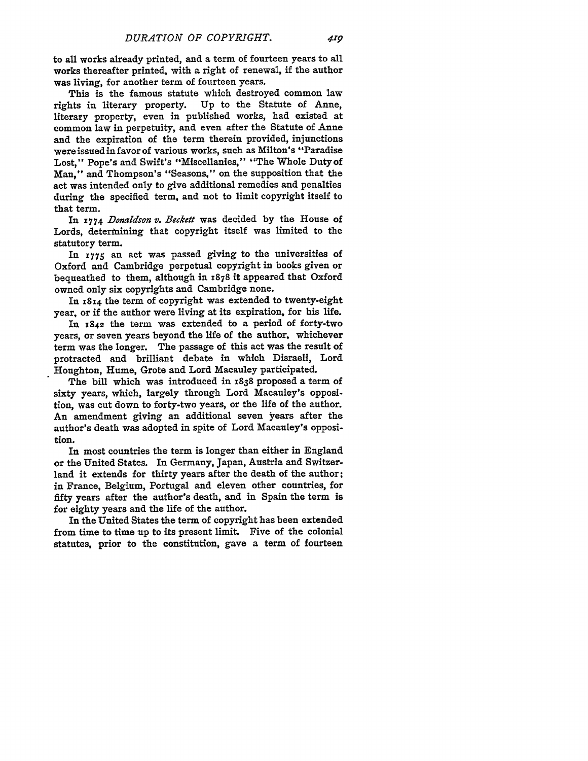to all works already printed, and a term of fourteen years to all works thereafter printed, with a right of renewal, if the author was living, for another term of fourteen years.

This is the famous statute which destroyed common law<br>hts in literary property. Up to the Statute of Anne. rights in literary property. literary property, even in published works, had existed at common law in perpetuity, and even after the Statute of Anne and the expiration of the term therein provided, injunctions were issued in favor of various works, such as Milton's "Paradise Lost," Pope's and Swift's "Miscellanies," "The Whole Dutyof Man," and Thompson's "Seasons," on the supposition that the act was intended only to give additional remedies and penalties during the specified term, and not to limit copyright itself to that term.

In **1774** *Donaldson v. Beckett* was decided **by** the House of Lords, determining that copyright itself was limited to the statutory term.

**In 1775** an act was passed giving to the universities of Oxford and Cambridge perpetual copyright in books given or bequeathed to them, although in **1878** it appeared that Oxford owned only six copyrights and Cambridge none.

In 1814 the term of copyright was extended to twenty-eight year, or if the author were living at its expiration, for his life.

In **1842** the term was extended to a period of forty-two years, or seven years beyond the life of the author, whichever term was the longer. The passage of this act was the result of protracted and brilliant debate in which Disraeli, Lord Houghton, Hume, Grote and Lord Macauley participated.

The bill which was introduced in 1838 proposed a term of sixty years, which, largely through Lord Macauley's opposition, was cut down to forty-two years, or the life of the author. An amendment giving an additional seven years after the author's death was adopted in spite of Lord Macauley's opposition.

In most countries the term is longer than either in England or the United States. In Germany, Japan, Austria and Switzerland it extends for thirty years after the death of the author: in France, Belgium, Portugal and eleven other countries, for fifty years after the author's death, and in Spain the term is for eighty years and the life of the author.

In the United States the term of copyright has been extended from time to time up to its present limit. Five of the colonial statutes, prior to the constitution, gave a term of fourteen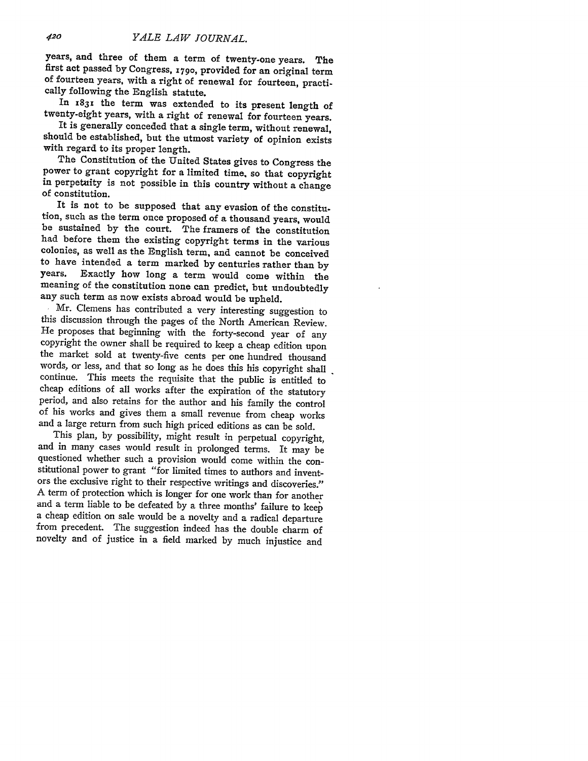years, and three of them a term of twenty-one years. The first act passed **by** Congress, **1790,** provided for an original term of fourteen years, with a right of renewal for fourteen, practically following the English statute.

In **1831** the term was extended to its present length of twenty-eight years, with a right of renewal for fourteen years. It is generally conceded that a single term, without renewal,

should be established, but the utmost variety of opinion exists with regard to its proper length.

The Constitution of the United States gives to Congress the power to grant copyright for a limited time. so that copyright in perpetuity is not possible in this country without a change of constitution.

It is not to be supposed that any evasion of the constitution, such as the term once proposed of a thousand years, would be sustained **by** the court. The framers of the constitution had before them the existing copyright terms in the various colonies, as well as the English term, and cannot be conceived to have intended a term marked **by** centuries rather than **by** years. Exactly how long a term would come within the meaning of the constitution none can predict, but undoubtedly any such term as now exists abroad would be upheld.

.Mr. Clemens has contributed a very interesting suggestion to this discussion through the pages of the North American Review.<br>He proposes that beginning with the forty-second year of any copyright the owner shall be required to keep a cheap edition upon the market sold at twenty-five cents per one hundred thousand words, or less, and that so long as he does this his copyright shall continue. This meets the requisite that the public is entitled to cheap editions of all works after the expiration of the statutory period, and also retains for the author and his family the control of his works and gives them a small revenue from cheap works and a large return from such high priced editions as can be sold.

This plan, by possibility, might result in perpetual copyright, and in many cases would result in prolonged terms. It may be questioned whether such a provision would come within the constitutional power to grant "for limited times to authors and inventors the exclusive right to their respective writings and discoveries." A term of protection which is longer for one work than for another and a term liable to be defeated by a three months' failure to keep a cheap edition on sale would be a novelty and a radical departure from precedent. The suggestion indeed has the double charm of novelty and of justice in a field marked by much injustice and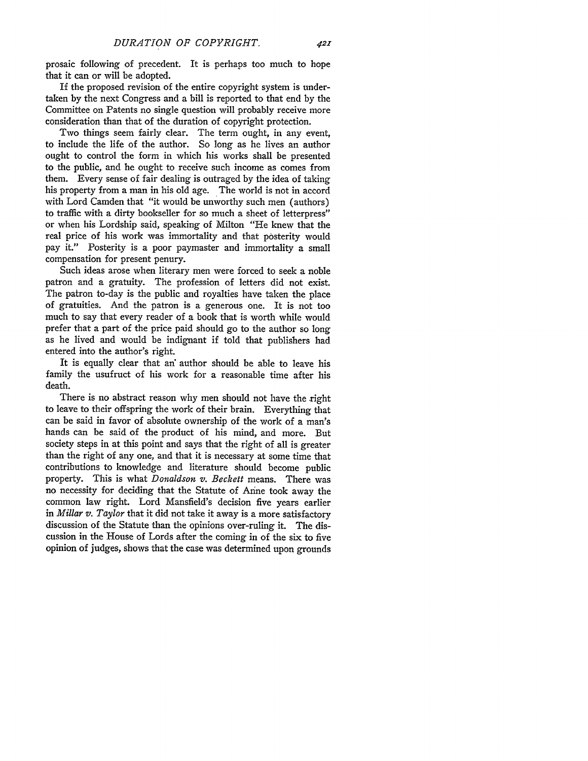prosaic following of precedent. It is perhaps too much to hope that it can or will be adopted.

If the proposed revision of the entire copyright system is undertaken **by** the next Congress and a bill is reported to that end **by** the Committee on Patents no single question will probably receive more consideration than that of the duration of copyright protection.

Two things seem fairly clear. The term ought, in any event, to include the life of the author. So long as he lives an author ought to control the form in which his works shall be presented to the public, and he ought to receive such income as comes from them. Every sense of fair dealing is outraged **by** the idea of taking his property from a man in his old age. The world is not in accord with Lord Camden that "it would be unworthy such men (authors) to traffic with a dirty bookseller for so much a sheet of letterpress" or when his Lordship said, speaking of Milton "He knew that the real price of his work was immortality and that posterity would pay it." Posterity is a poor paymaster and immortality a small compensation for present penury.

Such ideas arose when literary men were forced to seek a noble patron and a gratuity. The profession of letters did not exist. The patron to-day is the public and royalties have taken the place of gratuities. And the patron is a generous one. It is not too much to say that every reader of a book that is worth while would prefer that a part of the price paid should go to the author so long as he lived and would be indignant if told that publishers had entered into the author's right.

It is equally clear that **an"** author should be able to leave his family the usufruct of his work for a reasonable time after his death.

There is no abstract reason why men should not have the right to leave to their offspring the work of their brain. Everything that can be said in favor of absolute ownership of the work of a man's hands can be said of the product of his mind, and more. But society steps in at this point and says that the right of all is greater than the right of any one, and that it is necessary at some time that contributions to knowledge and literature should become public property. This is what *Donaldson v. Beckett* means. There was no necessity for deciding that the Statute of Anne took away the common law right. Lord Mansfield's decision five years earlier in *Millar v. Taylor* that it did not take it away is a more satisfactory discussion of the Statute than the opinions over-ruling it. The discussion in the House of Lords after the coming in of the six to five opinion of judges, shows that the case was determined upon grounds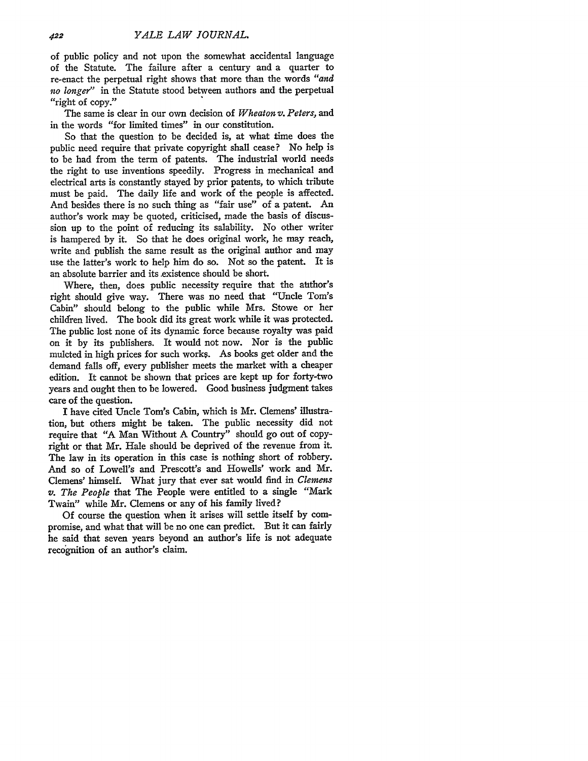of public policy and not upon the somewhat accidental language of the Statute. The failure after a century and a quarter to re-enact the perpetual right shows that more than the words *"and no longer"* in the Statute stood between authors and the perpetual "right of copy."

The same is clear in our own decision of *Wheaton v. Peters,* and in the words "for limited times" in our constitution.

So that the question to be decided is, at what time does the public need require that private copyright shall cease? No help is to be had from the term of patents. The industrial world needs the right to use inventions speedily. Progress in mechanical and electrical arts is constantly stayed by prior patents, to which tribute must be paid. The daily life and work of the people is affected. And besides there is no such thing as "fair use" of a patent. An author's work may be quoted, criticised, made the basis of discussion up to the point of reducing its salability. No other writer is hampered by it. So that he does original work, he may reach, write and publish the same result as the original author and may use the latter's work to help him do so. Not so the patent. It is an absolute barrier and its existence should be short.

Where, then, does public necessity require that the atithor's right should give way. There was no need that "Uncle Tom's Cabin" should belong to the public while Mrs. Stowe or her children lived. The book did its great work while it was protected. The public lost none of its dynamic force because royalty was paid on it by its publishers. It would not now. Nor is the public mulcted in high prices for such works. As books get older and the demand falls off, every publisher meets the market with a cheaper edition. It cannot be shown that prices are kept up for forty-two years and ought then to be lowered. Good business judgment takes care of the question.

I have cited Uncle Tom's Cabin, which is Mr. Clemens' illustration, but others might be taken. The public necessity did not require that "A Man Without A Country" should go out of copyright or that Mr. Hale should be deprived of the revenue from it. The law in its operation in this case is nothing short of robbery. And so of Lowell's and Prescott's and Howells' work and Mr. Clemens' himself. What jury that ever sat would find in *Clemens v. The People* that The People were entitled to a single "Mark Twain" while Mr. Clemens or any of his family lived?

Of course the question when it arises will settle itself by compromise, and what that will be no one can predict. But it can fairly he said that seven years beyond an author's life is not adequate recognition of an author's claim.